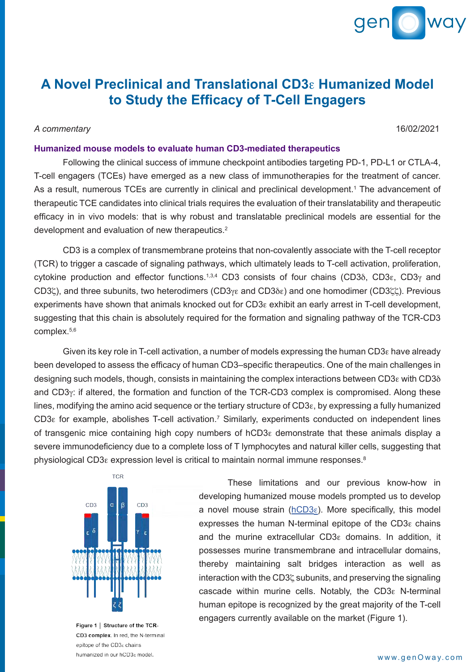

## **A Novel Preclinical and Translational CD3**e **Humanized Model to Study the Efficacy of T-Cell Engagers**

# *A commentary* 16/02/2021

## **Humanized mouse models to evaluate human CD3-mediated therapeutics**

Following the clinical success of immune checkpoint antibodies targeting PD-1, PD-L1 or CTLA-4, T-cell engagers (TCEs) have emerged as a new class of immunotherapies for the treatment of cancer. As a result, numerous TCEs are currently in clinical and preclinical development.<sup>1</sup> The advancement of therapeutic TCE candidates into clinical trials requires the evaluation of their translatability and therapeutic efficacy in in vivo models: that is why robust and translatable preclinical models are essential for the development and evaluation of new therapeutics.2

CD3 is a complex of transmembrane proteins that non-covalently associate with the T-cell receptor (TCR) to trigger a cascade of signaling pathways, which ultimately leads to T-cell activation, proliferation, cytokine production and effector functions.<sup>1,3,4</sup> CD3 consists of four chains (CD3 $\delta$ , CD3 $\epsilon$ , CD3 $\gamma$  and CD3 $\zeta$ ), and three subunits, two heterodimers (CD3 $\gamma$  $\epsilon$  and CD3 $\delta$  $\epsilon$ ) and one homodimer (CD3 $\zeta$  $\zeta$ ). Previous experiments have shown that animals knocked out for CD3e exhibit an early arrest in T-cell development, suggesting that this chain is absolutely required for the formation and signaling pathway of the TCR-CD3 complex.5,6

Given its key role in T-cell activation, a number of models expressing the human CD3 $\epsilon$  have already been developed to assess the efficacy of human CD3–specific therapeutics. One of the main challenges in designing such models, though, consists in maintaining the complex interactions between CD3e with CD3d and CD3<sub>Y</sub>: if altered, the formation and function of the TCR-CD3 complex is compromised. Along these lines, modifying the amino acid sequence or the tertiary structure of CD3e, by expressing a fully humanized CD3 $\epsilon$  for example, abolishes T-cell activation.<sup>7</sup> Similarly, experiments conducted on independent lines of transgenic mice containing high copy numbers of hCD3e demonstrate that these animals display a severe immunodeficiency due to a complete loss of T lymphocytes and natural killer cells, suggesting that physiological CD3 $\varepsilon$  expression level is critical to maintain normal immune responses. $8$ 



Figure 1 | Structure of the TCR-CD3 complex. In red, the N-terminal epitope of the CD3<sub>8</sub> chains humanized in our hCD3<sup>e</sup> model.

These limitations and our previous know-how in developing humanized mouse models prompted us to develop a novel mouse strain ( $hCD3\varepsilon$ ). More specifically, this model expresses the human N-terminal epitope of the CD3e chains and the murine extracellular CD3e domains. In addition, it possesses murine transmembrane and intracellular domains, thereby maintaining salt bridges interaction as well as interaction with the CD3 $\zeta$  subunits, and preserving the signaling cascade within murine cells. Notably, the CD3e N-terminal human epitope is recognized by the great majority of the T-cell engagers currently available on the market (Figure 1).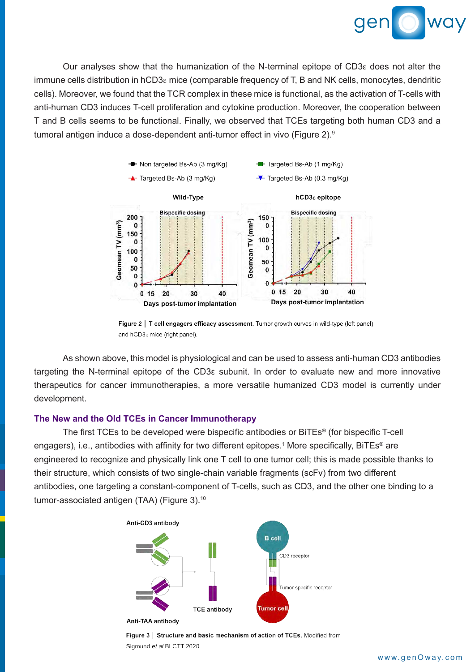

Our analyses show that the humanization of the N-terminal epitope of  $CD3\varepsilon$  does not alter the immune cells distribution in hCD3e mice (comparable frequency of T, B and NK cells, monocytes, dendritic cells). Moreover, we found that the TCR complex in these mice is functional, as the activation of T-cells with anti-human CD3 induces T-cell proliferation and cytokine production. Moreover, the cooperation between T and B cells seems to be functional. Finally, we observed that TCEs targeting both human CD3 and a tumoral antigen induce a dose-dependent anti-tumor effect in vivo (Figure 2).<sup>9</sup>



Figure 2 | T cell engagers efficacy assessment. Tumor growth curves in wild-type (left panel) and hCD3<sup> $\epsilon$ </sup> mice (right panel).

As shown above, this model is physiological and can be used to assess anti-human CD3 antibodies targeting the N-terminal epitope of the CD3ε subunit. In order to evaluate new and more innovative therapeutics for cancer immunotherapies, a more versatile humanized CD3 model is currently under development.

### **The New and the Old TCEs in Cancer Immunotherapy**

The first TCEs to be developed were bispecific antibodies or BiTEs® (for bispecific T-cell engagers), i.e., antibodies with affinity for two different epitopes.<sup>1</sup> More specifically, BiTEs<sup>®</sup> are engineered to recognize and physically link one T cell to one tumor cell; this is made possible thanks to their structure, which consists of two single-chain variable fragments (scFv) from two different antibodies, one targeting a constant-component of T-cells, such as CD3, and the other one binding to a tumor-associated antigen (TAA) (Figure 3).10



Figure 3 | Structure and basic mechanism of action of TCEs. Modified from Sigmund et al BLCTT 2020.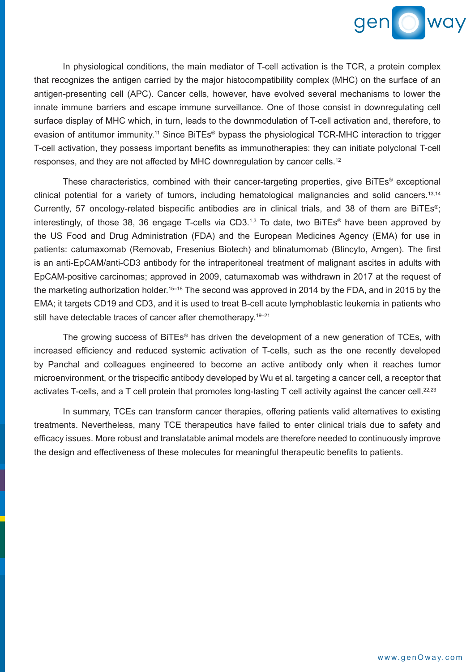

In physiological conditions, the main mediator of T-cell activation is the TCR, a protein complex that recognizes the antigen carried by the major histocompatibility complex (MHC) on the surface of an antigen-presenting cell (APC). Cancer cells, however, have evolved several mechanisms to lower the innate immune barriers and escape immune surveillance. One of those consist in downregulating cell surface display of MHC which, in turn, leads to the downmodulation of T-cell activation and, therefore, to evasion of antitumor immunity.11 Since BiTEs® bypass the physiological TCR-MHC interaction to trigger T-cell activation, they possess important benefits as immunotherapies: they can initiate polyclonal T-cell responses, and they are not affected by MHC downregulation by cancer cells.<sup>12</sup>

These characteristics, combined with their cancer-targeting properties, give BiTEs® exceptional clinical potential for a variety of tumors, including hematological malignancies and solid cancers.<sup>13,14</sup> Currently, 57 oncology-related bispecific antibodies are in clinical trials, and 38 of them are BiTEs®; interestingly, of those 38, 36 engage T-cells via CD3.1,3 To date, two BiTEs® have been approved by the US Food and Drug Administration (FDA) and the European Medicines Agency (EMA) for use in patients: catumaxomab (Removab, Fresenius Biotech) and blinatumomab (Blincyto, Amgen). The first is an anti-EpCAM/anti-CD3 antibody for the intraperitoneal treatment of malignant ascites in adults with EpCAM-positive carcinomas; approved in 2009, catumaxomab was withdrawn in 2017 at the request of the marketing authorization holder.<sup>15–18</sup> The second was approved in 2014 by the FDA, and in 2015 by the EMA; it targets CD19 and CD3, and it is used to treat B-cell acute lymphoblastic leukemia in patients who still have detectable traces of cancer after chemotherapy.<sup>19-21</sup>

The growing success of BiTEs® has driven the development of a new generation of TCEs, with increased efficiency and reduced systemic activation of T-cells, such as the one recently developed by Panchal and colleagues engineered to become an active antibody only when it reaches tumor microenvironment, or the trispecific antibody developed by Wu et al. targeting a cancer cell, a receptor that activates T-cells, and a T cell protein that promotes long-lasting T cell activity against the cancer cell.<sup>22,23</sup>

In summary, TCEs can transform cancer therapies, offering patients valid alternatives to existing treatments. Nevertheless, many TCE therapeutics have failed to enter clinical trials due to safety and efficacy issues. More robust and translatable animal models are therefore needed to continuously improve the design and effectiveness of these molecules for meaningful therapeutic benefits to patients.